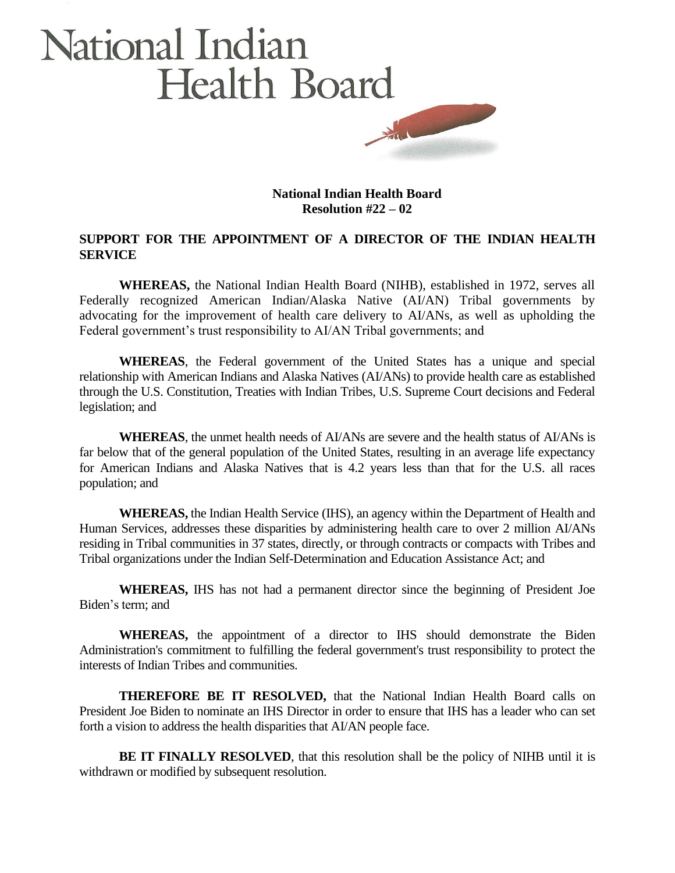## National Indian Health Board

**National Indian Health Board Resolution #22 – 02**

## **SUPPORT FOR THE APPOINTMENT OF A DIRECTOR OF THE INDIAN HEALTH SERVICE**

**WHEREAS,** the National Indian Health Board (NIHB), established in 1972, serves all Federally recognized American Indian/Alaska Native (AI/AN) Tribal governments by advocating for the improvement of health care delivery to AI/ANs, as well as upholding the Federal government's trust responsibility to AI/AN Tribal governments; and

**WHEREAS**, the Federal government of the United States has a unique and special relationship with American Indians and Alaska Natives (AI/ANs) to provide health care as established through the U.S. Constitution, Treaties with Indian Tribes, U.S. Supreme Court decisions and Federal legislation; and

**WHEREAS**, the unmet health needs of AI/ANs are severe and the health status of AI/ANs is far below that of the general population of the United States, resulting in an average life expectancy for American Indians and Alaska Natives that is 4.2 years less than that for the U.S. all races population; and

**WHEREAS,** the Indian Health Service (IHS), an agency within the Department of Health and Human Services, addresses these disparities by administering health care to over 2 million AI/ANs residing in Tribal communities in 37 states, directly, or through contracts or compacts with Tribes and Tribal organizations under the Indian Self-Determination and Education Assistance Act; and

**WHEREAS,** IHS has not had a permanent director since the beginning of President Joe Biden's term; and

**WHEREAS,** the appointment of a director to IHS should demonstrate the Biden Administration's commitment to fulfilling the federal government's trust responsibility to protect the interests of Indian Tribes and communities.

**THEREFORE BE IT RESOLVED,** that the National Indian Health Board calls on President Joe Biden to nominate an IHS Director in order to ensure that IHS has a leader who can set forth a vision to address the health disparities that AI/AN people face.

**BE IT FINALLY RESOLVED**, that this resolution shall be the policy of NIHB until it is withdrawn or modified by subsequent resolution.